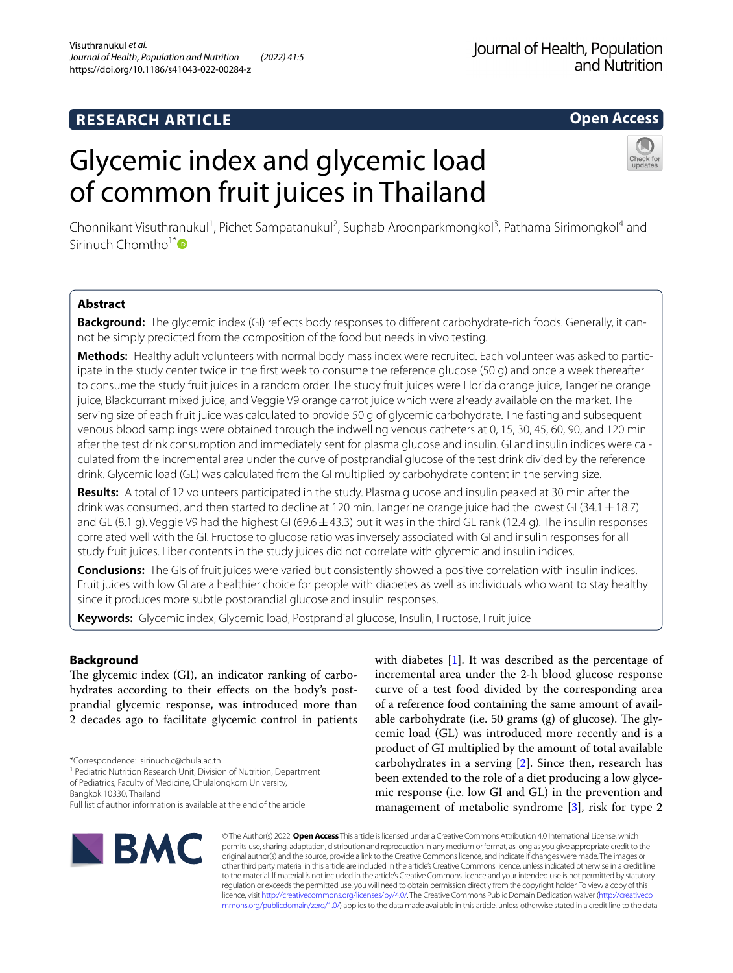# **RESEARCH ARTICLE**

# Journal of Health, Population and Nutrition

# **Open Access**

# Glycemic index and glycemic load of common fruit juices in Thailand



Chonnikant Visuthranukul<sup>1</sup>, Pichet Sampatanukul<sup>2</sup>, Suphab Aroonparkmongkol<sup>3</sup>, Pathama Sirimongkol<sup>4</sup> and Sirinuch Chomtho<sup>1[\\*](http://orcid.org/0000-0001-9712-2474)</sup>

# **Abstract**

**Background:** The glycemic index (GI) refects body responses to diferent carbohydrate-rich foods. Generally, it cannot be simply predicted from the composition of the food but needs in vivo testing.

**Methods:** Healthy adult volunteers with normal body mass index were recruited. Each volunteer was asked to participate in the study center twice in the frst week to consume the reference glucose (50 g) and once a week thereafter to consume the study fruit juices in a random order. The study fruit juices were Florida orange juice, Tangerine orange juice, Blackcurrant mixed juice, and Veggie V9 orange carrot juice which were already available on the market. The serving size of each fruit juice was calculated to provide 50 g of glycemic carbohydrate. The fasting and subsequent venous blood samplings were obtained through the indwelling venous catheters at 0, 15, 30, 45, 60, 90, and 120 min after the test drink consumption and immediately sent for plasma glucose and insulin. GI and insulin indices were calculated from the incremental area under the curve of postprandial glucose of the test drink divided by the reference drink. Glycemic load (GL) was calculated from the GI multiplied by carbohydrate content in the serving size.

**Results:** A total of 12 volunteers participated in the study. Plasma glucose and insulin peaked at 30 min after the drink was consumed, and then started to decline at 120 min. Tangerine orange juice had the lowest GI (34.1  $\pm$  18.7) and GL (8.1 g). Veggie V9 had the highest GI (69.6 $\pm$ 43.3) but it was in the third GL rank (12.4 g). The insulin responses correlated well with the GI. Fructose to glucose ratio was inversely associated with GI and insulin responses for all study fruit juices. Fiber contents in the study juices did not correlate with glycemic and insulin indices.

**Conclusions:** The GIs of fruit juices were varied but consistently showed a positive correlation with insulin indices. Fruit juices with low GI are a healthier choice for people with diabetes as well as individuals who want to stay healthy since it produces more subtle postprandial glucose and insulin responses.

**Keywords:** Glycemic index, Glycemic load, Postprandial glucose, Insulin, Fructose, Fruit juice

# **Background**

The glycemic index (GI), an indicator ranking of carbohydrates according to their efects on the body's postprandial glycemic response, was introduced more than 2 decades ago to facilitate glycemic control in patients

<sup>1</sup> Pediatric Nutrition Research Unit, Division of Nutrition, Department of Pediatrics, Faculty of Medicine, Chulalongkorn University,

Bangkok 10330, Thailand

with diabetes  $[1]$  $[1]$ . It was described as the percentage of incremental area under the 2-h blood glucose response curve of a test food divided by the corresponding area of a reference food containing the same amount of available carbohydrate (i.e. 50 grams  $(g)$  of glucose). The glycemic load (GL) was introduced more recently and is a product of GI multiplied by the amount of total available carbohydrates in a serving [[2\]](#page-6-0). Since then, research has been extended to the role of a diet producing a low glycemic response (i.e. low GI and GL) in the prevention and management of metabolic syndrome [\[3](#page-6-1)], risk for type 2



© The Author(s) 2022. **Open Access** This article is licensed under a Creative Commons Attribution 4.0 International License, which permits use, sharing, adaptation, distribution and reproduction in any medium or format, as long as you give appropriate credit to the original author(s) and the source, provide a link to the Creative Commons licence, and indicate if changes were made. The images or other third party material in this article are included in the article's Creative Commons licence, unless indicated otherwise in a credit line to the material. If material is not included in the article's Creative Commons licence and your intended use is not permitted by statutory regulation or exceeds the permitted use, you will need to obtain permission directly from the copyright holder. To view a copy of this licence, visit [http://creativecommons.org/licenses/by/4.0/.](http://creativecommons.org/licenses/by/4.0/) The Creative Commons Public Domain Dedication waiver ([http://creativeco](http://creativecommons.org/publicdomain/zero/1.0/) [mmons.org/publicdomain/zero/1.0/](http://creativecommons.org/publicdomain/zero/1.0/)) applies to the data made available in this article, unless otherwise stated in a credit line to the data.

<sup>\*</sup>Correspondence: sirinuch.c@chula.ac.th

Full list of author information is available at the end of the article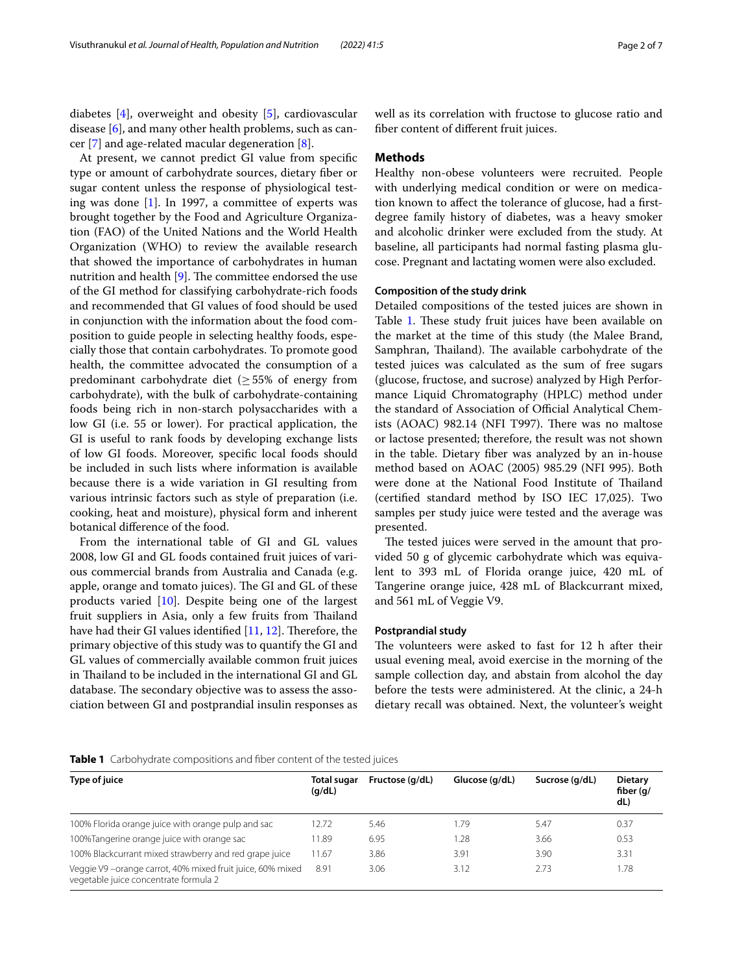diabetes [[4](#page-6-2)], overweight and obesity [[5\]](#page-6-3), cardiovascular disease [\[6](#page-6-4)], and many other health problems, such as cancer [[7\]](#page-6-5) and age-related macular degeneration [[8\]](#page-6-6).

At present, we cannot predict GI value from specifc type or amount of carbohydrate sources, dietary fber or sugar content unless the response of physiological testing was done [\[1](#page-5-0)]. In 1997, a committee of experts was brought together by the Food and Agriculture Organization (FAO) of the United Nations and the World Health Organization (WHO) to review the available research that showed the importance of carbohydrates in human nutrition and health  $[9]$  $[9]$  $[9]$ . The committee endorsed the use of the GI method for classifying carbohydrate-rich foods and recommended that GI values of food should be used in conjunction with the information about the food composition to guide people in selecting healthy foods, especially those that contain carbohydrates. To promote good health, the committee advocated the consumption of a predominant carbohydrate diet ( $\geq$  55% of energy from carbohydrate), with the bulk of carbohydrate-containing foods being rich in non-starch polysaccharides with a low GI (i.e. 55 or lower). For practical application, the GI is useful to rank foods by developing exchange lists of low GI foods. Moreover, specifc local foods should be included in such lists where information is available because there is a wide variation in GI resulting from various intrinsic factors such as style of preparation (i.e. cooking, heat and moisture), physical form and inherent botanical diference of the food.

From the international table of GI and GL values 2008, low GI and GL foods contained fruit juices of various commercial brands from Australia and Canada (e.g. apple, orange and tomato juices). The GI and GL of these products varied [[10\]](#page-6-8). Despite being one of the largest fruit suppliers in Asia, only a few fruits from Thailand have had their GI values identified  $[11, 12]$  $[11, 12]$  $[11, 12]$ . Therefore, the primary objective of this study was to quantify the GI and GL values of commercially available common fruit juices in Thailand to be included in the international GI and GL database. The secondary objective was to assess the association between GI and postprandial insulin responses as well as its correlation with fructose to glucose ratio and fber content of diferent fruit juices.

# **Methods**

Healthy non-obese volunteers were recruited. People with underlying medical condition or were on medication known to afect the tolerance of glucose, had a frstdegree family history of diabetes, was a heavy smoker and alcoholic drinker were excluded from the study. At baseline, all participants had normal fasting plasma glucose. Pregnant and lactating women were also excluded.

# **Composition of the study drink**

Detailed compositions of the tested juices are shown in Table [1.](#page-1-0) These study fruit juices have been available on the market at the time of this study (the Malee Brand, Samphran, Thailand). The available carbohydrate of the tested juices was calculated as the sum of free sugars (glucose, fructose, and sucrose) analyzed by High Performance Liquid Chromatography (HPLC) method under the standard of Association of Official Analytical Chemists  $(AOAC)$  982.14 (NFI T997). There was no maltose or lactose presented; therefore, the result was not shown in the table. Dietary fber was analyzed by an in-house method based on AOAC (2005) 985.29 (NFI 995). Both were done at the National Food Institute of Thailand (certifed standard method by ISO IEC 17,025). Two samples per study juice were tested and the average was presented.

The tested juices were served in the amount that provided 50 g of glycemic carbohydrate which was equivalent to 393 mL of Florida orange juice, 420 mL of Tangerine orange juice, 428 mL of Blackcurrant mixed, and 561 mL of Veggie V9.

# **Postprandial study**

The volunteers were asked to fast for 12 h after their usual evening meal, avoid exercise in the morning of the sample collection day, and abstain from alcohol the day before the tests were administered. At the clinic, a 24-h dietary recall was obtained. Next, the volunteer's weight

# <span id="page-1-0"></span>**Table 1** Carbohydrate compositions and fiber content of the tested juices

| Type of juice                                                                                      | Total sugar<br>(q/dL) | Fructose (g/dL) | Glucose (g/dL) | Sucrose (g/dL) | <b>Dietary</b><br>fiber $(q)$<br>dL) |
|----------------------------------------------------------------------------------------------------|-----------------------|-----------------|----------------|----------------|--------------------------------------|
| 100% Florida orange juice with orange pulp and sac                                                 | 12.72                 | 5.46            | 1.79           | 5.47           | 0.37                                 |
| 100%Tangerine orange juice with orange sac                                                         | 11.89                 | 6.95            | 1.28           | 3.66           | 0.53                                 |
| 100% Blackcurrant mixed strawberry and red grape juice                                             | 11.67                 | 3.86            | 3.91           | 3.90           | 3.31                                 |
| Veggie V9-orange carrot, 40% mixed fruit juice, 60% mixed<br>vegetable juice concentrate formula 2 | 8.91                  | 3.06            | 3.12           | 2.73           | 1.78                                 |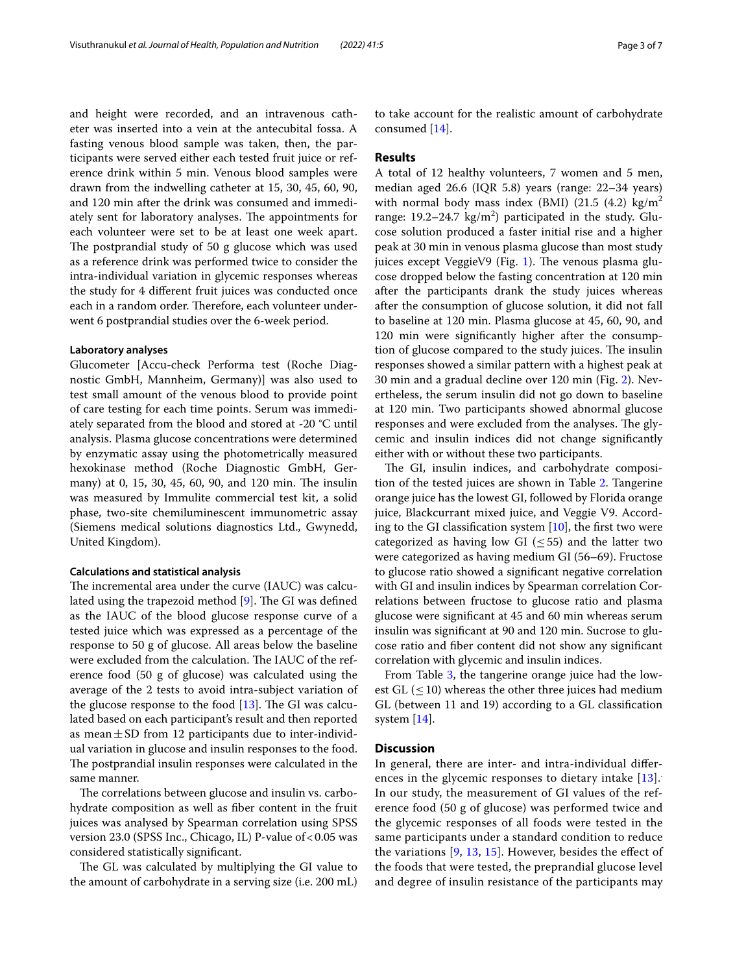and height were recorded, and an intravenous catheter was inserted into a vein at the antecubital fossa. A fasting venous blood sample was taken, then, the participants were served either each tested fruit juice or reference drink within 5 min. Venous blood samples were drawn from the indwelling catheter at 15, 30, 45, 60, 90, and 120 min after the drink was consumed and immediately sent for laboratory analyses. The appointments for each volunteer were set to be at least one week apart. The postprandial study of 50 g glucose which was used as a reference drink was performed twice to consider the intra-individual variation in glycemic responses whereas the study for 4 diferent fruit juices was conducted once each in a random order. Therefore, each volunteer underwent 6 postprandial studies over the 6-week period.

# **Laboratory analyses**

Glucometer [Accu-check Performa test (Roche Diagnostic GmbH, Mannheim, Germany)] was also used to test small amount of the venous blood to provide point of care testing for each time points. Serum was immediately separated from the blood and stored at -20 °C until analysis. Plasma glucose concentrations were determined by enzymatic assay using the photometrically measured hexokinase method (Roche Diagnostic GmbH, Germany) at 0, 15, 30, 45, 60, 90, and 120 min. The insulin was measured by Immulite commercial test kit, a solid phase, two-site chemiluminescent immunometric assay (Siemens medical solutions diagnostics Ltd., Gwynedd, United Kingdom).

# **Calculations and statistical analysis**

The incremental area under the curve (IAUC) was calculated using the trapezoid method  $[9]$  $[9]$ . The GI was defined as the IAUC of the blood glucose response curve of a tested juice which was expressed as a percentage of the response to 50 g of glucose. All areas below the baseline were excluded from the calculation. The IAUC of the reference food (50 g of glucose) was calculated using the average of the 2 tests to avoid intra-subject variation of the glucose response to the food  $[13]$  $[13]$ . The GI was calculated based on each participant's result and then reported as mean $\pm$ SD from 12 participants due to inter-individual variation in glucose and insulin responses to the food. The postprandial insulin responses were calculated in the same manner.

The correlations between glucose and insulin vs. carbohydrate composition as well as fber content in the fruit juices was analysed by Spearman correlation using SPSS version 23.0 (SPSS Inc., Chicago, IL) P-value of <0.05 was considered statistically signifcant.

The GL was calculated by multiplying the GI value to the amount of carbohydrate in a serving size (i.e. 200 mL)

to take account for the realistic amount of carbohydrate consumed [\[14](#page-6-12)].

# **Results**

A total of 12 healthy volunteers, 7 women and 5 men, median aged 26.6 (IQR 5.8) years (range: 22–34 years) with normal body mass index (BMI)  $(21.5 \text{ } (4.2) \text{ kg/m}^2)$ range:  $19.2 - 24.7 \text{ kg/m}^2$  participated in the study. Glucose solution produced a faster initial rise and a higher peak at 30 min in venous plasma glucose than most study juices except VeggieV9 (Fig. [1\)](#page-3-0). The venous plasma glucose dropped below the fasting concentration at 120 min after the participants drank the study juices whereas after the consumption of glucose solution, it did not fall to baseline at 120 min. Plasma glucose at 45, 60, 90, and 120 min were signifcantly higher after the consumption of glucose compared to the study juices. The insuline responses showed a similar pattern with a highest peak at 30 min and a gradual decline over 120 min (Fig. [2](#page-3-1)). Nevertheless, the serum insulin did not go down to baseline at 120 min. Two participants showed abnormal glucose responses and were excluded from the analyses. The glycemic and insulin indices did not change signifcantly either with or without these two participants.

The GI, insulin indices, and carbohydrate composition of the tested juices are shown in Table [2](#page-3-2). Tangerine orange juice has the lowest GI, followed by Florida orange juice, Blackcurrant mixed juice, and Veggie V9. According to the GI classification system  $[10]$  $[10]$ , the first two were categorized as having low GI ( $\leq$  55) and the latter two were categorized as having medium GI (56–69). Fructose to glucose ratio showed a signifcant negative correlation with GI and insulin indices by Spearman correlation Correlations between fructose to glucose ratio and plasma glucose were signifcant at 45 and 60 min whereas serum insulin was signifcant at 90 and 120 min. Sucrose to glucose ratio and fber content did not show any signifcant correlation with glycemic and insulin indices.

From Table [3](#page-4-0), the tangerine orange juice had the lowest GL  $(\leq 10)$  whereas the other three juices had medium GL (between 11 and 19) according to a GL classifcation system [\[14](#page-6-12)].

# **Discussion**

In general, there are inter- and intra-individual difer-ences in the glycemic responses to dietary intake [\[13](#page-6-11)]. In our study, the measurement of GI values of the reference food (50 g of glucose) was performed twice and the glycemic responses of all foods were tested in the same participants under a standard condition to reduce the variations  $[9, 13, 15]$  $[9, 13, 15]$  $[9, 13, 15]$  $[9, 13, 15]$  $[9, 13, 15]$  $[9, 13, 15]$  $[9, 13, 15]$ . However, besides the effect of the foods that were tested, the preprandial glucose level and degree of insulin resistance of the participants may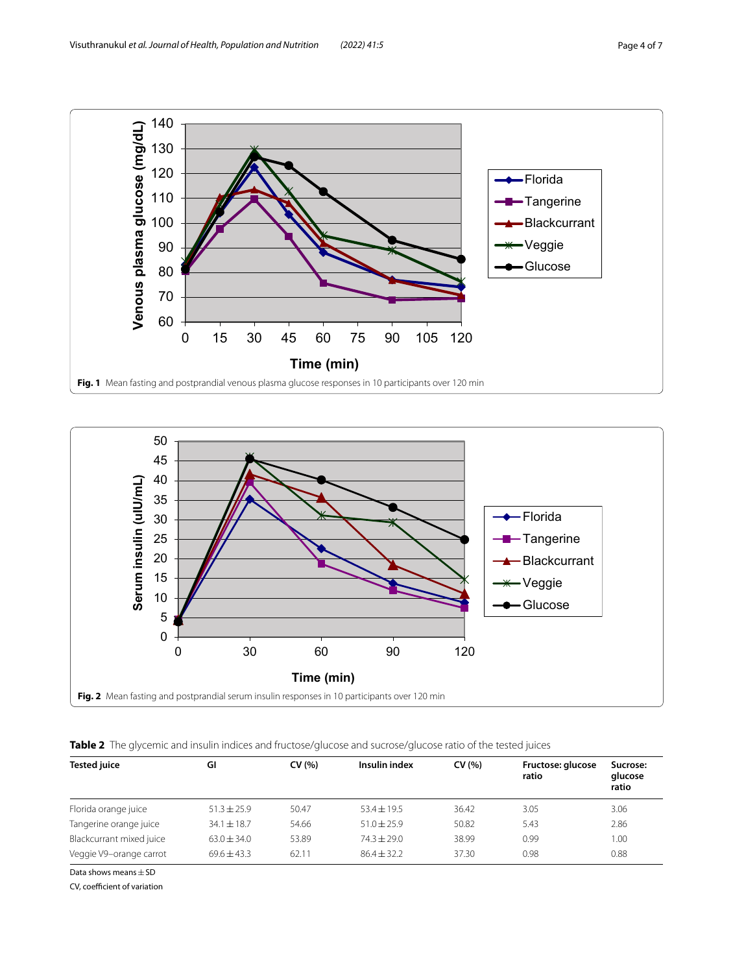

<span id="page-3-0"></span>

<span id="page-3-2"></span><span id="page-3-1"></span>**Table 2** The glycemic and insulin indices and fructose/glucose and sucrose/glucose ratio of the tested juices

| <b>Tested juice</b>      | GI              | CV(% ) | Insulin index   | CV(% ) | Fructose: glucose<br>ratio | Sucrose:<br>glucose |
|--------------------------|-----------------|--------|-----------------|--------|----------------------------|---------------------|
|                          |                 |        |                 |        |                            | ratio               |
| Florida orange juice     | $51.3 \pm 25.9$ | 50.47  | $53.4 \pm 19.5$ | 36.42  | 3.05                       | 3.06                |
| Tangerine orange juice   | $34.1 \pm 18.7$ | 54.66  | $51.0 + 25.9$   | 50.82  | 5.43                       | 2.86                |
| Blackcurrant mixed juice | $63.0 + 34.0$   | 53.89  | $74.3 + 29.0$   | 38.99  | 0.99                       | 1.00                |
| Veggie V9-orange carrot  | $69.6 + 43.3$   | 62.11  | $86.4 + 32.2$   | 37.30  | 0.98                       | 0.88                |

Data shows means  $\pm$  SD

CV, coefficient of variation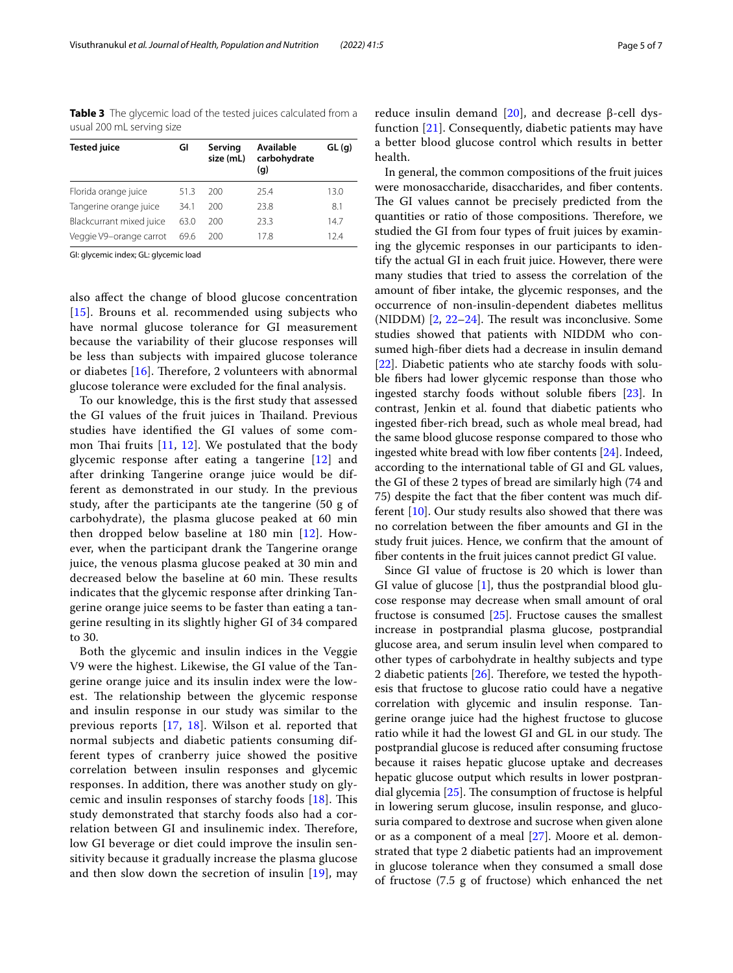<span id="page-4-0"></span>**Table 3** The glycemic load of the tested juices calculated from a usual 200 mL serving size

| <b>Tested juice</b>      | GI   | Serving<br>size (mL) | Available<br>carbohydrate<br>(g) | GL(q) |
|--------------------------|------|----------------------|----------------------------------|-------|
| Florida orange juice     | 51.3 | 200                  | 25.4                             | 13.0  |
| Tangerine orange juice   | 34.1 | 200                  | 23.8                             | 8.1   |
| Blackcurrant mixed juice | 63.0 | 200                  | 23.3                             | 14.7  |
| Veggie V9-orange carrot  | 69.6 | 200                  | 178                              | 12.4  |

GI: glycemic index; GL: glycemic load

also afect the change of blood glucose concentration [[15](#page-6-13)]. Brouns et al. recommended using subjects who have normal glucose tolerance for GI measurement because the variability of their glucose responses will be less than subjects with impaired glucose tolerance or diabetes  $[16]$  $[16]$ . Therefore, 2 volunteers with abnormal glucose tolerance were excluded for the fnal analysis.

To our knowledge, this is the frst study that assessed the GI values of the fruit juices in Thailand. Previous studies have identifed the GI values of some common Thai fruits  $[11, 12]$  $[11, 12]$  $[11, 12]$ . We postulated that the body glycemic response after eating a tangerine [\[12](#page-6-10)] and after drinking Tangerine orange juice would be different as demonstrated in our study. In the previous study, after the participants ate the tangerine (50 g of carbohydrate), the plasma glucose peaked at 60 min then dropped below baseline at 180 min [\[12\]](#page-6-10). However, when the participant drank the Tangerine orange juice, the venous plasma glucose peaked at 30 min and decreased below the baseline at 60 min. These results indicates that the glycemic response after drinking Tangerine orange juice seems to be faster than eating a tangerine resulting in its slightly higher GI of 34 compared to 30.

Both the glycemic and insulin indices in the Veggie V9 were the highest. Likewise, the GI value of the Tangerine orange juice and its insulin index were the lowest. The relationship between the glycemic response and insulin response in our study was similar to the previous reports [[17,](#page-6-15) [18](#page-6-16)]. Wilson et al. reported that normal subjects and diabetic patients consuming different types of cranberry juice showed the positive correlation between insulin responses and glycemic responses. In addition, there was another study on glycemic and insulin responses of starchy foods  $[18]$  $[18]$  $[18]$ . This study demonstrated that starchy foods also had a correlation between GI and insulinemic index. Therefore, low GI beverage or diet could improve the insulin sensitivity because it gradually increase the plasma glucose and then slow down the secretion of insulin [[19](#page-6-17)], may

reduce insulin demand  $[20]$  $[20]$ , and decrease β-cell dysfunction [\[21\]](#page-6-19). Consequently, diabetic patients may have a better blood glucose control which results in better health.

In general, the common compositions of the fruit juices were monosaccharide, disaccharides, and fber contents. The GI values cannot be precisely predicted from the quantities or ratio of those compositions. Therefore, we studied the GI from four types of fruit juices by examining the glycemic responses in our participants to identify the actual GI in each fruit juice. However, there were many studies that tried to assess the correlation of the amount of fber intake, the glycemic responses, and the occurrence of non-insulin-dependent diabetes mellitus (NIDDM)  $[2, 22-24]$  $[2, 22-24]$  $[2, 22-24]$  $[2, 22-24]$ . The result was inconclusive. Some studies showed that patients with NIDDM who consumed high-fber diets had a decrease in insulin demand [[22\]](#page-6-20). Diabetic patients who ate starchy foods with soluble fbers had lower glycemic response than those who ingested starchy foods without soluble fbers [\[23](#page-6-22)]. In contrast, Jenkin et al. found that diabetic patients who ingested fber-rich bread, such as whole meal bread, had the same blood glucose response compared to those who ingested white bread with low fber contents [\[24](#page-6-21)]. Indeed, according to the international table of GI and GL values, the GI of these 2 types of bread are similarly high (74 and 75) despite the fact that the fber content was much different [[10\]](#page-6-8). Our study results also showed that there was no correlation between the fber amounts and GI in the study fruit juices. Hence, we confrm that the amount of fber contents in the fruit juices cannot predict GI value.

Since GI value of fructose is 20 which is lower than GI value of glucose [[1\]](#page-5-0), thus the postprandial blood glucose response may decrease when small amount of oral fructose is consumed  $[25]$  $[25]$ . Fructose causes the smallest increase in postprandial plasma glucose, postprandial glucose area, and serum insulin level when compared to other types of carbohydrate in healthy subjects and type 2 diabetic patients  $[26]$ . Therefore, we tested the hypothesis that fructose to glucose ratio could have a negative correlation with glycemic and insulin response. Tangerine orange juice had the highest fructose to glucose ratio while it had the lowest GI and GL in our study. The postprandial glucose is reduced after consuming fructose because it raises hepatic glucose uptake and decreases hepatic glucose output which results in lower postprandial glycemia  $[25]$  $[25]$ . The consumption of fructose is helpful in lowering serum glucose, insulin response, and glucosuria compared to dextrose and sucrose when given alone or as a component of a meal [[27\]](#page-6-25). Moore et al. demonstrated that type 2 diabetic patients had an improvement in glucose tolerance when they consumed a small dose of fructose (7.5 g of fructose) which enhanced the net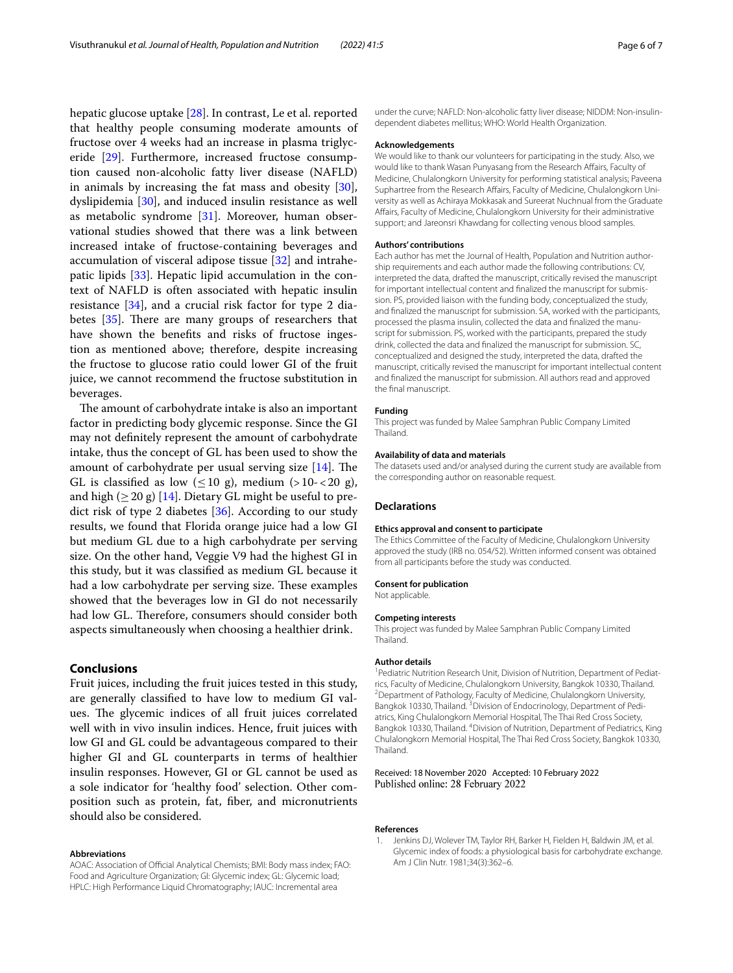hepatic glucose uptake [[28](#page-6-26)]. In contrast, Le et al. reported that healthy people consuming moderate amounts of fructose over 4 weeks had an increase in plasma triglyceride [[29\]](#page-6-27). Furthermore, increased fructose consumption caused non-alcoholic fatty liver disease (NAFLD) in animals by increasing the fat mass and obesity [\[30](#page-6-28)], dyslipidemia [[30\]](#page-6-28), and induced insulin resistance as well as metabolic syndrome [\[31\]](#page-6-29). Moreover, human observational studies showed that there was a link between increased intake of fructose-containing beverages and accumulation of visceral adipose tissue [[32](#page-6-30)] and intrahepatic lipids [\[33\]](#page-6-31). Hepatic lipid accumulation in the context of NAFLD is often associated with hepatic insulin resistance [\[34](#page-6-32)], and a crucial risk factor for type 2 diabetes  $[35]$  $[35]$ . There are many groups of researchers that have shown the benefts and risks of fructose ingestion as mentioned above; therefore, despite increasing the fructose to glucose ratio could lower GI of the fruit juice, we cannot recommend the fructose substitution in beverages.

The amount of carbohydrate intake is also an important factor in predicting body glycemic response. Since the GI may not defnitely represent the amount of carbohydrate intake, thus the concept of GL has been used to show the amount of carbohydrate per usual serving size  $[14]$  $[14]$  $[14]$ . The GL is classified as low  $(\leq 10 \text{ g})$ , medium  $(>10-<20 \text{ g})$ , and high ( $\geq$  20 g) [[14\]](#page-6-12). Dietary GL might be useful to predict risk of type 2 diabetes [[36\]](#page-6-34). According to our study results, we found that Florida orange juice had a low GI but medium GL due to a high carbohydrate per serving size. On the other hand, Veggie V9 had the highest GI in this study, but it was classifed as medium GL because it had a low carbohydrate per serving size. These examples showed that the beverages low in GI do not necessarily had low GL. Therefore, consumers should consider both aspects simultaneously when choosing a healthier drink.

# **Conclusions**

Fruit juices, including the fruit juices tested in this study, are generally classifed to have low to medium GI values. The glycemic indices of all fruit juices correlated well with in vivo insulin indices. Hence, fruit juices with low GI and GL could be advantageous compared to their higher GI and GL counterparts in terms of healthier insulin responses. However, GI or GL cannot be used as a sole indicator for 'healthy food' selection. Other composition such as protein, fat, fber, and micronutrients should also be considered.

#### **Abbreviations**

AOAC: Association of Official Analytical Chemists; BMI: Body mass index; FAO: Food and Agriculture Organization; GI: Glycemic index; GL: Glycemic load; HPLC: High Performance Liquid Chromatography; IAUC: Incremental area

under the curve; NAFLD: Non-alcoholic fatty liver disease; NIDDM: Non-insulindependent diabetes mellitus; WHO: World Health Organization.

#### **Acknowledgements**

We would like to thank our volunteers for participating in the study. Also, we would like to thank Wasan Punyasang from the Research Afairs, Faculty of Medicine, Chulalongkorn University for performing statistical analysis; Paveena Suphartree from the Research Affairs, Faculty of Medicine, Chulalongkorn University as well as Achiraya Mokkasak and Sureerat Nuchnual from the Graduate Afairs, Faculty of Medicine, Chulalongkorn University for their administrative support; and Jareonsri Khawdang for collecting venous blood samples.

#### **Authors' contributions**

Each author has met the Journal of Health, Population and Nutrition authorship requirements and each author made the following contributions: CV, interpreted the data, drafted the manuscript, critically revised the manuscript for important intellectual content and fnalized the manuscript for submission. PS, provided liaison with the funding body, conceptualized the study, and fnalized the manuscript for submission. SA, worked with the participants, processed the plasma insulin, collected the data and fnalized the manuscript for submission. PS, worked with the participants, prepared the study drink, collected the data and fnalized the manuscript for submission. SC, conceptualized and designed the study, interpreted the data, drafted the manuscript, critically revised the manuscript for important intellectual content and fnalized the manuscript for submission. All authors read and approved the fnal manuscript.

# **Funding**

This project was funded by Malee Samphran Public Company Limited **Thailand** 

# **Availability of data and materials**

The datasets used and/or analysed during the current study are available from the corresponding author on reasonable request.

#### **Declarations**

# **Ethics approval and consent to participate**

The Ethics Committee of the Faculty of Medicine, Chulalongkorn University approved the study (IRB no. 054/52). Written informed consent was obtained from all participants before the study was conducted.

#### **Consent for publication**

Not applicable.

#### **Competing interests**

This project was funded by Malee Samphran Public Company Limited Thailand.

#### **Author details**

<sup>1</sup> Pediatric Nutrition Research Unit, Division of Nutrition, Department of Pediatrics, Faculty of Medicine, Chulalongkorn University, Bangkok 10330, Thailand. 2 <sup>2</sup> Department of Pathology, Faculty of Medicine, Chulalongkorn University, Bangkok 10330, Thailand. <sup>3</sup> Division of Endocrinology, Department of Pediatrics, King Chulalongkorn Memorial Hospital, The Thai Red Cross Society, Bangkok 10330, Thailand. <sup>4</sup> Division of Nutrition, Department of Pediatrics, King Chulalongkorn Memorial Hospital, The Thai Red Cross Society, Bangkok 10330, Thailand.

Received: 18 November 2020 Accepted: 10 February 2022 Published online: 28 February 2022

#### **References**

<span id="page-5-0"></span>Jenkins DJ, Wolever TM, Taylor RH, Barker H, Fielden H, Baldwin JM, et al. Glycemic index of foods: a physiological basis for carbohydrate exchange. Am J Clin Nutr. 1981;34(3):362–6.